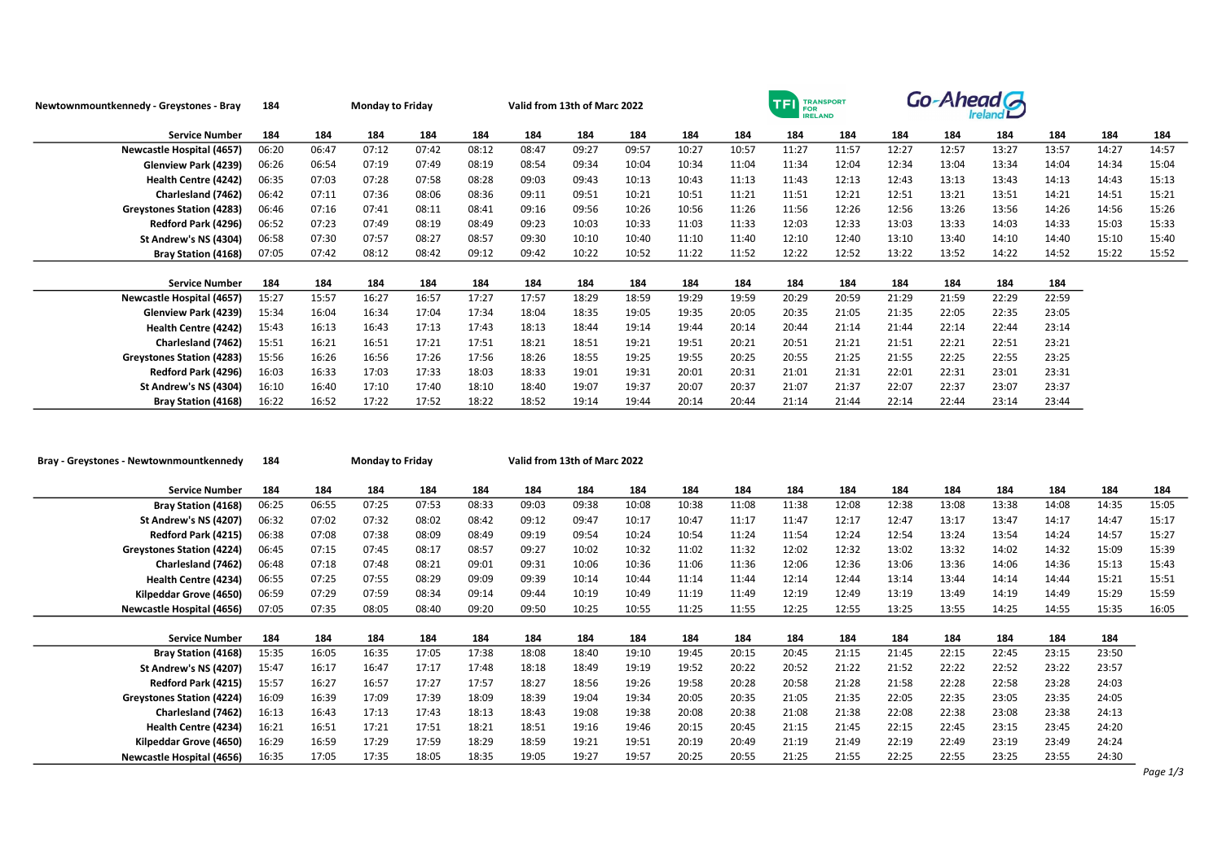| Newtownmountkennedy - Greystones - Bray | 184   |       | <b>Monday to Friday</b> |       |       |       | Valid from 13th of Marc 2022 |       |       | TRANSPORT<br><b>TFI</b><br><b>FOR</b><br><b>IRELAND</b> |       |       |       | Go-Ahead G |       |       |       |       |
|-----------------------------------------|-------|-------|-------------------------|-------|-------|-------|------------------------------|-------|-------|---------------------------------------------------------|-------|-------|-------|------------|-------|-------|-------|-------|
| <b>Service Number</b>                   | 184   | 184   | 184                     | 184   | 184   | 184   | 184                          | 184   | 184   | 184                                                     | 184   | 184   | 184   | 184        | 184   | 184   | 184   | 184   |
| <b>Newcastle Hospital (4657)</b>        | 06:20 | 06:47 | 07:12                   | 07:42 | 08:12 | 08:47 | 09:27                        | 09:57 | 10:27 | 10:57                                                   | 11:27 | 11:57 | 12:27 | 12:57      | 13:27 | 13:57 | 14:27 | 14:57 |
| Glenview Park (4239)                    | 06:26 | 06:54 | 07:19                   | 07:49 | 08:19 | 08:54 | 09:34                        | 10:04 | 10:34 | 11:04                                                   | 11:34 | 12:04 | 12:34 | 13:04      | 13:34 | 14:04 | 14:34 | 15:04 |
| Health Centre (4242)                    | 06:35 | 07:03 | 07:28                   | 07:58 | 08:28 | 09:03 | 09:43                        | 10:13 | 10:43 | 11:13                                                   | 11:43 | 12:13 | 12:43 | 13:13      | 13:43 | 14:13 | 14:43 | 15:13 |
| Charlesland (7462)                      | 06:42 | 07:11 | 07:36                   | 08:06 | 08:36 | 09:11 | 09:51                        | 10:21 | 10:51 | 11:21                                                   | 11:51 | 12:21 | 12:51 | 13:21      | 13:51 | 14:21 | 14:51 | 15:21 |
| <b>Greystones Station (4283)</b>        | 06:46 | 07:16 | 07:41                   | 08:11 | 08:41 | 09:16 | 09:56                        | 10:26 | 10:56 | 11:26                                                   | 11:56 | 12:26 | 12:56 | 13:26      | 13:56 | 14:26 | 14:56 | 15:26 |
| Redford Park (4296)                     | 06:52 | 07:23 | 07:49                   | 08:19 | 08:49 | 09:23 | 10:03                        | 10:33 | 11:03 | 11:33                                                   | 12:03 | 12:33 | 13:03 | 13:33      | 14:03 | 14:33 | 15:03 | 15:33 |
| St Andrew's NS (4304)                   | 06:58 | 07:30 | 07:57                   | 08:27 | 08:57 | 09:30 | 10:10                        | 10:40 | 11:10 | 11:40                                                   | 12:10 | 12:40 | 13:10 | 13:40      | 14:10 | 14:40 | 15:10 | 15:40 |
| <b>Bray Station (4168)</b>              | 07:05 | 07:42 | 08:12                   | 08:42 | 09:12 | 09:42 | 10:22                        | 10:52 | 11:22 | 11:52                                                   | 12:22 | 12:52 | 13:22 | 13:52      | 14:22 | 14:52 | 15:22 | 15:52 |
|                                         |       |       |                         |       |       |       |                              |       |       |                                                         |       |       |       |            |       |       |       |       |
| <b>Service Number</b>                   | 184   | 184   | 184                     | 184   | 184   | 184   | 184                          | 184   | 184   | 184                                                     | 184   | 184   | 184   | 184        | 184   | 184   |       |       |
| <b>Newcastle Hospital (4657)</b>        | 15:27 | 15:57 | 16:27                   | 16:57 | 17:27 | 17:57 | 18:29                        | 18:59 | 19:29 | 19:59                                                   | 20:29 | 20:59 | 21:29 | 21:59      | 22:29 | 22:59 |       |       |
| Glenview Park (4239)                    | 15:34 | 16:04 | 16:34                   | 17:04 | 17:34 | 18:04 | 18:35                        | 19:05 | 19:35 | 20:05                                                   | 20:35 | 21:05 | 21:35 | 22:05      | 22:35 | 23:05 |       |       |
| Health Centre (4242)                    | 15:43 | 16:13 | 16:43                   | 17:13 | 17:43 | 18:13 | 18:44                        | 19:14 | 19:44 | 20:14                                                   | 20:44 | 21:14 | 21:44 | 22:14      | 22:44 | 23:14 |       |       |
| Charlesland (7462)                      | 15:51 | 16:21 | 16:51                   | 17:21 | 17:51 | 18:21 | 18:51                        | 19:21 | 19:51 | 20:21                                                   | 20:51 | 21:21 | 21:51 | 22:21      | 22:51 | 23:21 |       |       |
| <b>Greystones Station (4283)</b>        | 15:56 | 16:26 | 16:56                   | 17:26 | 17:56 | 18:26 | 18:55                        | 19:25 | 19:55 | 20:25                                                   | 20:55 | 21:25 | 21:55 | 22:25      | 22:55 | 23:25 |       |       |
| Redford Park (4296)                     | 16:03 | 16:33 | 17:03                   | 17:33 | 18:03 | 18:33 | 19:01                        | 19:31 | 20:01 | 20:31                                                   | 21:01 | 21:31 | 22:01 | 22:31      | 23:01 | 23:31 |       |       |
| St Andrew's NS (4304)                   | 16:10 | 16:40 | 17:10                   | 17:40 | 18:10 | 18:40 | 19:07                        | 19:37 | 20:07 | 20:37                                                   | 21:07 | 21:37 | 22:07 | 22:37      | 23:07 | 23:37 |       |       |
| <b>Bray Station (4168)</b>              | 16:22 | 16:52 | 17:22                   | 17:52 | 18:22 | 18:52 | 19:14                        | 19:44 | 20:14 | 20:44                                                   | 21:14 | 21:44 | 22:14 | 22:44      | 23:14 | 23:44 |       |       |

| Bray - Greystones - Newtownmountkennedy | 184   | <b>Monday to Friday</b> |       |       |       | Valid from 13th of Marc 2022 |       |       |       |       |       |       |       |       |       |       |       |       |
|-----------------------------------------|-------|-------------------------|-------|-------|-------|------------------------------|-------|-------|-------|-------|-------|-------|-------|-------|-------|-------|-------|-------|
| <b>Service Number</b>                   | 184   | 184                     | 184   | 184   | 184   | 184                          | 184   | 184   | 184   | 184   | 184   | 184   | 184   | 184   | 184   | 184   | 184   | 184   |
| <b>Bray Station (4168)</b>              | 06:25 | 06:55                   | 07:25 | 07:53 | 08:33 | 09:03                        | 09:38 | 10:08 | 10:38 | 11:08 | 11:38 | 12:08 | 12:38 | 13:08 | 13:38 | 14:08 | 14:35 | 15:05 |
| St Andrew's NS (4207)                   | 06:32 | 07:02                   | 07:32 | 08:02 | 08:42 | 09:12                        | 09:47 | 10:17 | 10:47 | 11:17 | 11:47 | 12:17 | 12:47 | 13:17 | 13:47 | 14:17 | 14:47 | 15:17 |
| Redford Park (4215)                     | 06:38 | 07:08                   | 07:38 | 08:09 | 08:49 | 09:19                        | 09:54 | 10:24 | 10:54 | 11:24 | 11:54 | 12:24 | 12:54 | 13:24 | 13:54 | 14:24 | 14:57 | 15:27 |
| <b>Greystones Station (4224)</b>        | 06:45 | 07:15                   | 07:45 | 08:17 | 08:57 | 09:27                        | 10:02 | 10:32 | 11:02 | 11:32 | 12:02 | 12:32 | 13:02 | 13:32 | 14:02 | 14:32 | 15:09 | 15:39 |
| Charlesland (7462)                      | 06:48 | 07:18                   | 07:48 | 08:21 | 09:01 | 09:31                        | 10:06 | 10:36 | 11:06 | 11:36 | 12:06 | 12:36 | 13:06 | 13:36 | 14:06 | 14:36 | 15:13 | 15:43 |
| Health Centre (4234)                    | 06:55 | 07:25                   | 07:55 | 08:29 | 09:09 | 09:39                        | 10:14 | 10:44 | 11:14 | 11:44 | 12:14 | 12:44 | 13:14 | 13:44 | 14:14 | 14:44 | 15:21 | 15:51 |
| Kilpeddar Grove (4650)                  | 06:59 | 07:29                   | 07:59 | 08:34 | 09:14 | 09:44                        | 10:19 | 10:49 | 11:19 | 11:49 | 12:19 | 12:49 | 13:19 | 13:49 | 14:19 | 14:49 | 15:29 | 15:59 |
| <b>Newcastle Hospital (4656)</b>        | 07:05 | 07:35                   | 08:05 | 08:40 | 09:20 | 09:50                        | 10:25 | 10:55 | 11:25 | 11:55 | 12:25 | 12:55 | 13:25 | 13:55 | 14:25 | 14:55 | 15:35 | 16:05 |
|                                         |       |                         |       |       |       |                              |       |       |       |       |       |       |       |       |       |       |       |       |
| <b>Service Number</b>                   | 184   | 184                     | 184   | 184   | 184   | 184                          | 184   | 184   | 184   | 184   | 184   | 184   | 184   | 184   | 184   | 184   | 184   |       |
| <b>Bray Station (4168)</b>              | 15:35 | 16:05                   | 16:35 | 17:05 | 17:38 | 18:08                        | 18:40 | 19:10 | 19:45 | 20:15 | 20:45 | 21:15 | 21:45 | 22:15 | 22:45 | 23:15 | 23:50 |       |
| St Andrew's NS (4207)                   | 15:47 | 16:17                   | 16:47 | 17:17 | 17:48 | 18:18                        | 18:49 | 19:19 | 19:52 | 20:22 | 20:52 | 21:22 | 21:52 | 22:22 | 22:52 | 23:22 | 23:57 |       |
| Redford Park (4215)                     | 15:57 | 16:27                   | 16:57 | 17:27 | 17:57 | 18:27                        | 18:56 | 19:26 | 19:58 | 20:28 | 20:58 | 21:28 | 21:58 | 22:28 | 22:58 | 23:28 | 24:03 |       |
| <b>Greystones Station (4224)</b>        | 16:09 | 16:39                   | 17:09 | 17:39 | 18:09 | 18:39                        | 19:04 | 19:34 | 20:05 | 20:35 | 21:05 | 21:35 | 22:05 | 22:35 | 23:05 | 23:35 | 24:05 |       |
| Charlesland (7462)                      | 16:13 | 16:43                   | 17:13 | 17:43 | 18:13 | 18:43                        | 19:08 | 19:38 | 20:08 | 20:38 | 21:08 | 21:38 | 22:08 | 22:38 | 23:08 | 23:38 | 24:13 |       |
| Health Centre (4234)                    | 16:21 | 16:51                   | 17:21 | 17:51 | 18:21 | 18:51                        | 19:16 | 19:46 | 20:15 | 20:45 | 21:15 | 21:45 | 22:15 | 22:45 | 23:15 | 23:45 | 24:20 |       |
| Kilpeddar Grove (4650)                  | 16:29 | 16:59                   | 17:29 | 17:59 | 18:29 | 18:59                        | 19:21 | 19:51 | 20:19 | 20:49 | 21:19 | 21:49 | 22:19 | 22:49 | 23:19 | 23:49 | 24:24 |       |
| <b>Newcastle Hospital (4656)</b>        | 16:35 | 17:05                   | 17:35 | 18:05 | 18:35 | 19:05                        | 19:27 | 19:57 | 20:25 | 20:55 | 21:25 | 21:55 | 22:25 | 22:55 | 23:25 | 23:55 | 24:30 |       |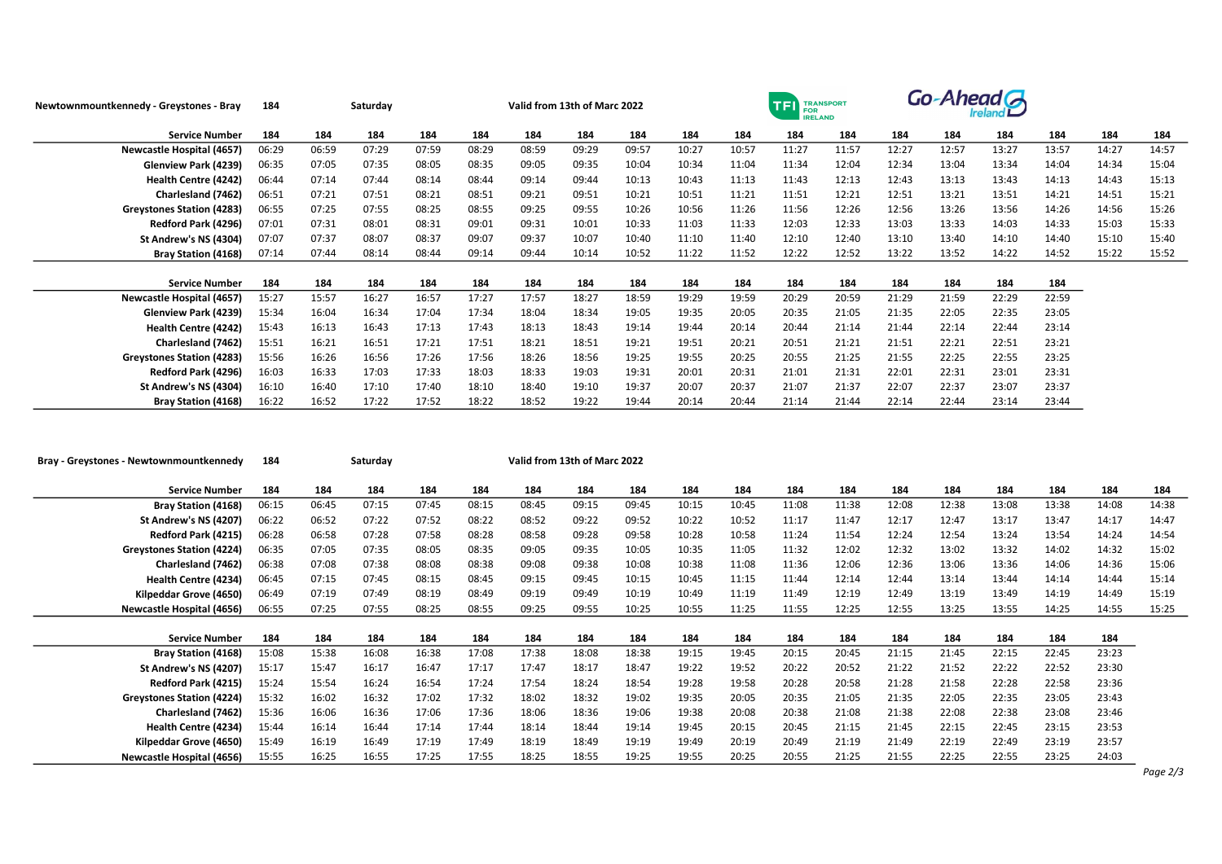| Newtownmountkennedy - Greystones - Bray | 184   |       | Saturday |       |       |       | Valid from 13th of Marc 2022 |       |       |       | <b>TFI</b><br><b>FOR</b><br><b>IRELAND</b> | <b>TRANSPORT</b> | Go-Ahead A |       |       |       |       |       |
|-----------------------------------------|-------|-------|----------|-------|-------|-------|------------------------------|-------|-------|-------|--------------------------------------------|------------------|------------|-------|-------|-------|-------|-------|
| <b>Service Number</b>                   | 184   | 184   | 184      | 184   | 184   | 184   | 184                          | 184   | 184   | 184   | 184                                        | 184              | 184        | 184   | 184   | 184   | 184   | 184   |
| <b>Newcastle Hospital (4657)</b>        | 06:29 | 06:59 | 07:29    | 07:59 | 08:29 | 08:59 | 09:29                        | 09:57 | 10:27 | 10:57 | 11:27                                      | 11:57            | 12:27      | 12:57 | 13:27 | 13:57 | 14:27 | 14:57 |
| Glenview Park (4239)                    | 06:35 | 07:05 | 07:35    | 08:05 | 08:35 | 09:05 | 09:35                        | 10:04 | 10:34 | 11:04 | 11:34                                      | 12:04            | 12:34      | 13:04 | 13:34 | 14:04 | 14:34 | 15:04 |
| Health Centre (4242)                    | 06:44 | 07:14 | 07:44    | 08:14 | 08:44 | 09:14 | 09:44                        | 10:13 | 10:43 | 11:13 | 11:43                                      | 12:13            | 12:43      | 13:13 | 13:43 | 14:13 | 14:43 | 15:13 |
| Charlesland (7462)                      | 06:51 | 07:21 | 07:51    | 08:21 | 08:51 | 09:21 | 09:51                        | 10:21 | 10:51 | 11:21 | 11:51                                      | 12:21            | 12:51      | 13:21 | 13:51 | 14:21 | 14:51 | 15:21 |
| <b>Greystones Station (4283)</b>        | 06:55 | 07:25 | 07:55    | 08:25 | 08:55 | 09:25 | 09:55                        | 10:26 | 10:56 | 11:26 | 11:56                                      | 12:26            | 12:56      | 13:26 | 13:56 | 14:26 | 14:56 | 15:26 |
| Redford Park (4296)                     | 07:01 | 07:31 | 08:01    | 08:31 | 09:01 | 09:31 | 10:01                        | 10:33 | 11:03 | 11:33 | 12:03                                      | 12:33            | 13:03      | 13:33 | 14:03 | 14:33 | 15:03 | 15:33 |
| St Andrew's NS (4304)                   | 07:07 | 07:37 | 08:07    | 08:37 | 09:07 | 09:37 | 10:07                        | 10:40 | 11:10 | 11:40 | 12:10                                      | 12:40            | 13:10      | 13:40 | 14:10 | 14:40 | 15:10 | 15:40 |
| <b>Bray Station (4168)</b>              | 07:14 | 07:44 | 08:14    | 08:44 | 09:14 | 09:44 | 10:14                        | 10:52 | 11:22 | 11:52 | 12:22                                      | 12:52            | 13:22      | 13:52 | 14:22 | 14:52 | 15:22 | 15:52 |
|                                         |       |       |          |       |       |       |                              |       |       |       |                                            |                  |            |       |       |       |       |       |
| <b>Service Number</b>                   | 184   | 184   | 184      | 184   | 184   | 184   | 184                          | 184   | 184   | 184   | 184                                        | 184              | 184        | 184   | 184   | 184   |       |       |
| <b>Newcastle Hospital (4657)</b>        | 15:27 | 15:57 | 16:27    | 16:57 | 17:27 | 17:57 | 18:27                        | 18:59 | 19:29 | 19:59 | 20:29                                      | 20:59            | 21:29      | 21:59 | 22:29 | 22:59 |       |       |
| Glenview Park (4239)                    | 15:34 | 16:04 | 16:34    | 17:04 | 17:34 | 18:04 | 18:34                        | 19:05 | 19:35 | 20:05 | 20:35                                      | 21:05            | 21:35      | 22:05 | 22:35 | 23:05 |       |       |
| <b>Health Centre (4242)</b>             | 15:43 | 16:13 | 16:43    | 17:13 | 17:43 | 18:13 | 18:43                        | 19:14 | 19:44 | 20:14 | 20:44                                      | 21:14            | 21:44      | 22:14 | 22:44 | 23:14 |       |       |
| Charlesland (7462)                      | 15:51 | 16:21 | 16:51    | 17:21 | 17:51 | 18:21 | 18:51                        | 19:21 | 19:51 | 20:21 | 20:51                                      | 21:21            | 21:51      | 22:21 | 22:51 | 23:21 |       |       |
| <b>Greystones Station (4283)</b>        | 15:56 | 16:26 | 16:56    | 17:26 | 17:56 | 18:26 | 18:56                        | 19:25 | 19:55 | 20:25 | 20:55                                      | 21:25            | 21:55      | 22:25 | 22:55 | 23:25 |       |       |
| Redford Park (4296)                     | 16:03 | 16:33 | 17:03    | 17:33 | 18:03 | 18:33 | 19:03                        | 19:31 | 20:01 | 20:31 | 21:01                                      | 21:31            | 22:01      | 22:31 | 23:01 | 23:31 |       |       |
| St Andrew's NS (4304)                   | 16:10 | 16:40 | 17:10    | 17:40 | 18:10 | 18:40 | 19:10                        | 19:37 | 20:07 | 20:37 | 21:07                                      | 21:37            | 22:07      | 22:37 | 23:07 | 23:37 |       |       |
| <b>Bray Station (4168)</b>              | 16:22 | 16:52 | 17:22    | 17:52 | 18:22 | 18:52 | 19:22                        | 19:44 | 20:14 | 20:44 | 21:14                                      | 21:44            | 22:14      | 22:44 | 23:14 | 23:44 |       |       |

| Bray - Greystones - Newtownmountkennedy | 184   |       | Saturday | Valid from 13th of Marc 2022 |       |       |       |       |       |       |       |       |       |       |       |       |       |       |
|-----------------------------------------|-------|-------|----------|------------------------------|-------|-------|-------|-------|-------|-------|-------|-------|-------|-------|-------|-------|-------|-------|
| <b>Service Number</b>                   | 184   | 184   | 184      | 184                          | 184   | 184   | 184   | 184   | 184   | 184   | 184   | 184   | 184   | 184   | 184   | 184   | 184   | 184   |
| <b>Bray Station (4168)</b>              | 06:15 | 06:45 | 07:15    | 07:45                        | 08:15 | 08:45 | 09:15 | 09:45 | 10:15 | 10:45 | 11:08 | 11:38 | 12:08 | 12:38 | 13:08 | 13:38 | 14:08 | 14:38 |
| St Andrew's NS (4207)                   | 06:22 | 06:52 | 07:22    | 07:52                        | 08:22 | 08:52 | 09:22 | 09:52 | 10:22 | 10:52 | 11:17 | 11:47 | 12:17 | 12:47 | 13:17 | 13:47 | 14:17 | 14:47 |
| Redford Park (4215)                     | 06:28 | 06:58 | 07:28    | 07:58                        | 08:28 | 08:58 | 09:28 | 09:58 | 10:28 | 10:58 | 11:24 | 11:54 | 12:24 | 12:54 | 13:24 | 13:54 | 14:24 | 14:54 |
| <b>Greystones Station (4224)</b>        | 06:35 | 07:05 | 07:35    | 08:05                        | 08:35 | 09:05 | 09:35 | 10:05 | 10:35 | 11:05 | 11:32 | 12:02 | 12:32 | 13:02 | 13:32 | 14:02 | 14:32 | 15:02 |
| Charlesland (7462)                      | 06:38 | 07:08 | 07:38    | 08:08                        | 08:38 | 09:08 | 09:38 | 10:08 | 10:38 | 11:08 | 11:36 | 12:06 | 12:36 | 13:06 | 13:36 | 14:06 | 14:36 | 15:06 |
| Health Centre (4234)                    | 06:45 | 07:15 | 07:45    | 08:15                        | 08:45 | 09:15 | 09:45 | 10:15 | 10:45 | 11:15 | 11:44 | 12:14 | 12:44 | 13:14 | 13:44 | 14:14 | 14:44 | 15:14 |
| Kilpeddar Grove (4650)                  | 06:49 | 07:19 | 07:49    | 08:19                        | 08:49 | 09:19 | 09:49 | 10:19 | 10:49 | 11:19 | 11:49 | 12:19 | 12:49 | 13:19 | 13:49 | 14:19 | 14:49 | 15:19 |
| <b>Newcastle Hospital (4656)</b>        | 06:55 | 07:25 | 07:55    | 08:25                        | 08:55 | 09:25 | 09:55 | 10:25 | 10:55 | 11:25 | 11:55 | 12:25 | 12:55 | 13:25 | 13:55 | 14:25 | 14:55 | 15:25 |
|                                         |       |       |          |                              |       |       |       |       |       |       |       |       |       |       |       |       |       |       |
| <b>Service Number</b>                   | 184   | 184   | 184      | 184                          | 184   | 184   | 184   | 184   | 184   | 184   | 184   | 184   | 184   | 184   | 184   | 184   | 184   |       |
| <b>Bray Station (4168)</b>              | 15:08 | 15:38 | 16:08    | 16:38                        | 17:08 | 17:38 | 18:08 | 18:38 | 19:15 | 19:45 | 20:15 | 20:45 | 21:15 | 21:45 | 22:15 | 22:45 | 23:23 |       |
| St Andrew's NS (4207)                   | 15:17 | 15:47 | 16:17    | 16:47                        | 17:17 | 17:47 | 18:17 | 18:47 | 19:22 | 19:52 | 20:22 | 20:52 | 21:22 | 21:52 | 22:22 | 22:52 | 23:30 |       |
| Redford Park (4215)                     | 15:24 | 15:54 | 16:24    | 16:54                        | 17:24 | 17:54 | 18:24 | 18:54 | 19:28 | 19:58 | 20:28 | 20:58 | 21:28 | 21:58 | 22:28 | 22:58 | 23:36 |       |
| <b>Greystones Station (4224)</b>        | 15:32 | 16:02 | 16:32    | 17:02                        | 17:32 | 18:02 | 18:32 | 19:02 | 19:35 | 20:05 | 20:35 | 21:05 | 21:35 | 22:05 | 22:35 | 23:05 | 23:43 |       |
| Charlesland (7462)                      | 15:36 | 16:06 | 16:36    | 17:06                        | 17:36 | 18:06 | 18:36 | 19:06 | 19:38 | 20:08 | 20:38 | 21:08 | 21:38 | 22:08 | 22:38 | 23:08 | 23:46 |       |
| Health Centre (4234)                    | 15:44 | 16:14 | 16:44    | 17:14                        | 17:44 | 18:14 | 18:44 | 19:14 | 19:45 | 20:15 | 20:45 | 21:15 | 21:45 | 22:15 | 22:45 | 23:15 | 23:53 |       |
| Kilpeddar Grove (4650)                  | 15:49 | 16:19 | 16:49    | 17:19                        | 17:49 | 18:19 | 18:49 | 19:19 | 19:49 | 20:19 | 20:49 | 21:19 | 21:49 | 22:19 | 22:49 | 23:19 | 23:57 |       |
| <b>Newcastle Hospital (4656)</b>        | 15:55 | 16:25 | 16:55    | 17:25                        | 17:55 | 18:25 | 18:55 | 19:25 | 19:55 | 20:25 | 20:55 | 21:25 | 21:55 | 22:25 | 22:55 | 23:25 | 24:03 |       |